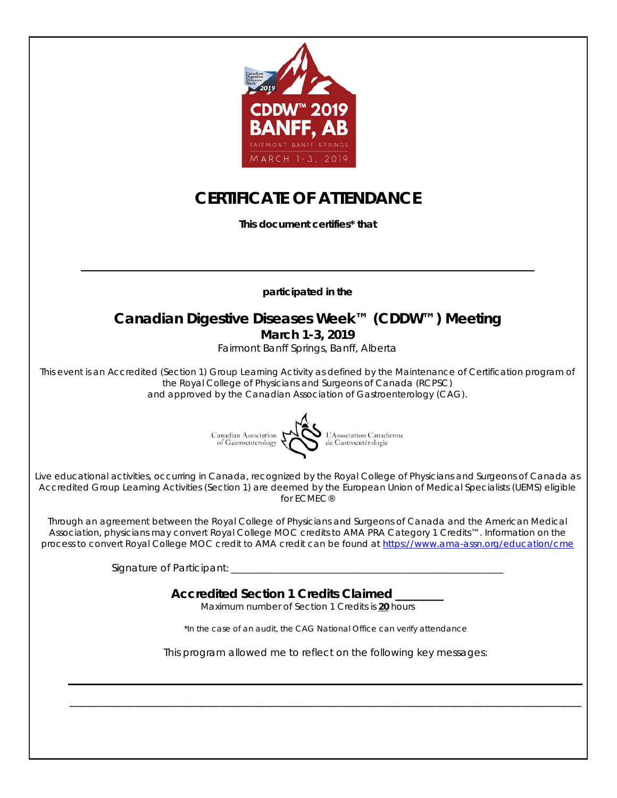

## *CERTIFICATE OF ATTENDANCE*

**This document certifies\* that**

**participated in the** 

## **Canadian Digestive Diseases Week™ (CDDW™) Meeting March 1-3, 2019**

Fairmont Banff Springs, Banff, Alberta

This event is an Accredited (Section 1) Group Learning Activity as defined by the Maintenance of Certification program of the Royal College of Physicians and Surgeons of Canada (RCPSC) and approved by the Canadian Association of Gastroenterology (CAG).



*Live educational activities, occurring in Canada, recognized by the Royal College of Physicians and Surgeons of Canada as Accredited Group Learning Activities (Section 1) are deemed by the European Union of Medical Specialists (UEMS) eligible for ECMEC®*

*Through an agreement between the Royal College of Physicians and Surgeons of Canada and the American Medical Association, physicians may convert Royal College MOC credits to AMA PRA Category 1 Credits™. Information on the process to convert Royal College MOC credit to AMA credit can be found at <https://www.ama-assn.org/education/cme>*

Signature of Participant:

**Accredited Section 1 Credits Claimed \_\_\_\_\_\_\_\_** 

*Maximum number of Section 1 Credits is 20 hours*

\*In the case of an audit, the CAG National Office can verify attendance

*This program allowed me to reflect on the following key messages:*

**\_\_\_\_\_\_\_\_\_\_\_\_\_\_\_\_\_\_\_\_\_\_\_\_\_\_\_\_\_\_\_\_\_\_\_\_\_\_\_\_\_\_\_\_\_\_\_\_\_\_\_\_\_\_\_\_\_\_\_\_\_\_\_\_\_\_\_\_\_\_\_\_\_\_\_\_\_\_\_\_\_\_\_\_\_\_\_\_\_\_\_\_\_\_\_\_\_\_\_\_\_\_\_\_\_\_\_\_\_\_\_\_\_\_\_\_\_\_\_\_\_\_\_\_\_\_\_**